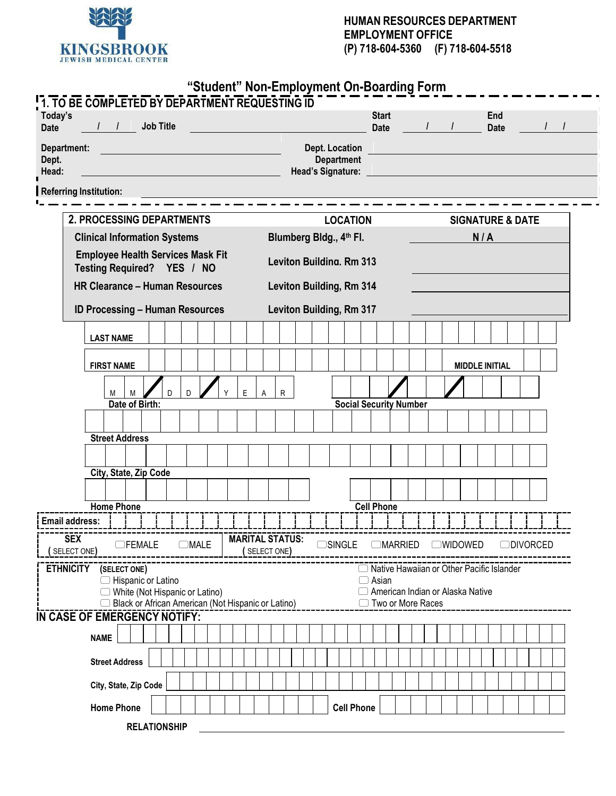

|  | "Student" Non-Employment On-Boarding Form |
|--|-------------------------------------------|
|--|-------------------------------------------|

| Today's<br><b>Date</b>        | 1. TO BE COMPLETED BY DEPARTMENT REQUESTING ID<br>$\frac{1}{1}$        | <b>Job Title</b> |   |                      |  |   |             |                                 |                       |                   |                   | <b>Start</b><br>Date                               |  |  | $\overline{L}$ |                             |     | End<br>Date |  |                  |  |
|-------------------------------|------------------------------------------------------------------------|------------------|---|----------------------|--|---|-------------|---------------------------------|-----------------------|-------------------|-------------------|----------------------------------------------------|--|--|----------------|-----------------------------|-----|-------------|--|------------------|--|
|                               |                                                                        |                  |   |                      |  |   |             |                                 |                       |                   |                   |                                                    |  |  |                |                             |     |             |  |                  |  |
| Department:<br>Dept.<br>Head: |                                                                        |                  |   |                      |  |   |             |                                 | <b>Dept. Location</b> | <b>Department</b> |                   | Head's Signature: _____                            |  |  |                |                             |     |             |  |                  |  |
| <b>Referring Institution:</b> |                                                                        |                  |   |                      |  |   |             |                                 |                       |                   |                   |                                                    |  |  |                |                             |     |             |  |                  |  |
|                               |                                                                        |                  |   |                      |  |   |             |                                 |                       |                   |                   |                                                    |  |  |                |                             |     |             |  |                  |  |
|                               | <b>2. PROCESSING DEPARTMENTS</b>                                       |                  |   |                      |  |   |             |                                 |                       |                   | <b>LOCATION</b>   |                                                    |  |  |                | <b>SIGNATURE &amp; DATE</b> |     |             |  |                  |  |
|                               | <b>Clinical Information Systems</b>                                    |                  |   |                      |  |   |             | Blumberg Bldg., 4th Fl.         |                       |                   |                   |                                                    |  |  |                |                             | N/A |             |  |                  |  |
|                               | <b>Employee Health Services Mask Fit</b><br>Testing Required? YES / NO |                  |   |                      |  |   |             | <b>Leviton Building, Rm 313</b> |                       |                   |                   |                                                    |  |  |                |                             |     |             |  |                  |  |
|                               | <b>HR Clearance - Human Resources</b>                                  |                  |   |                      |  |   |             | Leviton Building, Rm 314        |                       |                   |                   |                                                    |  |  |                |                             |     |             |  |                  |  |
|                               | <b>ID Processing - Human Resources</b>                                 |                  |   |                      |  |   |             | Leviton Building, Rm 317        |                       |                   |                   |                                                    |  |  |                |                             |     |             |  |                  |  |
|                               |                                                                        |                  |   |                      |  |   |             |                                 |                       |                   |                   |                                                    |  |  |                |                             |     |             |  |                  |  |
|                               | <b>LAST NAME</b>                                                       |                  |   |                      |  |   |             |                                 |                       |                   |                   |                                                    |  |  |                |                             |     |             |  |                  |  |
|                               | <b>FIRST NAME</b>                                                      |                  |   |                      |  |   |             |                                 |                       |                   |                   |                                                    |  |  |                | <b>MIDDLE INITIAL</b>       |     |             |  |                  |  |
|                               | M<br>M                                                                 |                  | D | D                    |  | E |             | $\mathsf{R}$                    |                       |                   |                   |                                                    |  |  |                |                             |     |             |  |                  |  |
|                               | Date of Birth:                                                         |                  |   |                      |  |   |             |                                 |                       |                   |                   | <b>Social Security Number</b>                      |  |  |                |                             |     |             |  |                  |  |
|                               |                                                                        |                  |   |                      |  |   |             |                                 |                       |                   |                   |                                                    |  |  |                |                             |     |             |  |                  |  |
|                               | <b>Street Address</b>                                                  |                  |   |                      |  |   |             |                                 |                       |                   |                   |                                                    |  |  |                |                             |     |             |  |                  |  |
|                               | City, State, Zip Code                                                  |                  |   |                      |  |   |             |                                 |                       |                   |                   |                                                    |  |  |                |                             |     |             |  |                  |  |
|                               |                                                                        |                  |   |                      |  |   |             |                                 |                       |                   |                   |                                                    |  |  |                |                             |     |             |  |                  |  |
|                               | <b>Home Phone</b>                                                      |                  |   |                      |  |   |             |                                 |                       |                   |                   | <b>Cell Phone</b>                                  |  |  |                |                             |     |             |  |                  |  |
| <b>Email address:</b>         |                                                                        |                  |   |                      |  |   |             |                                 |                       |                   |                   |                                                    |  |  |                |                             |     |             |  |                  |  |
| <b>SEX</b><br>(SELECTONE)     | OFEMALE                                                                |                  |   | $\Box \textsf{MALE}$ |  |   | (SELECTONE) | <b>MARITAL STATUS:</b>          |                       | $\Box$ SINGLE     |                   | <b>OMARRIED</b>                                    |  |  | $\cup$ Widowed |                             |     |             |  | <b>ODIVORCED</b> |  |
| <b>ETHNICITY</b>              | (SELECT ONE)                                                           |                  |   |                      |  |   |             |                                 |                       |                   |                   | □ Native Hawaiian or Other Pacific Islander        |  |  |                |                             |     |             |  |                  |  |
|                               | Hispanic or Latino<br>◯ White (Not Hispanic or Latino)                 |                  |   |                      |  |   |             |                                 |                       |                   |                   | $\Box$ Asian<br>□ American Indian or Alaska Native |  |  |                |                             |     |             |  |                  |  |
|                               | □ Black or African American (Not Hispanic or Latino)                   |                  |   |                      |  |   |             |                                 |                       |                   |                   | ◯ Two or More Races                                |  |  |                |                             |     |             |  |                  |  |
|                               | IN CASE OF EMERGENCY NOTIFY:                                           |                  |   |                      |  |   |             |                                 |                       |                   |                   |                                                    |  |  |                |                             |     |             |  |                  |  |
|                               | <b>NAME</b>                                                            |                  |   |                      |  |   |             |                                 |                       |                   |                   |                                                    |  |  |                |                             |     |             |  |                  |  |
|                               | <b>Street Address</b>                                                  |                  |   |                      |  |   |             |                                 |                       |                   |                   |                                                    |  |  |                |                             |     |             |  |                  |  |
|                               | City, State, Zip Code                                                  |                  |   |                      |  |   |             |                                 |                       |                   |                   |                                                    |  |  |                |                             |     |             |  |                  |  |
|                               | <b>Home Phone</b>                                                      |                  |   |                      |  |   |             |                                 |                       |                   | <b>Cell Phone</b> |                                                    |  |  |                |                             |     |             |  |                  |  |
|                               |                                                                        |                  |   |                      |  |   |             |                                 |                       |                   |                   |                                                    |  |  |                |                             |     |             |  |                  |  |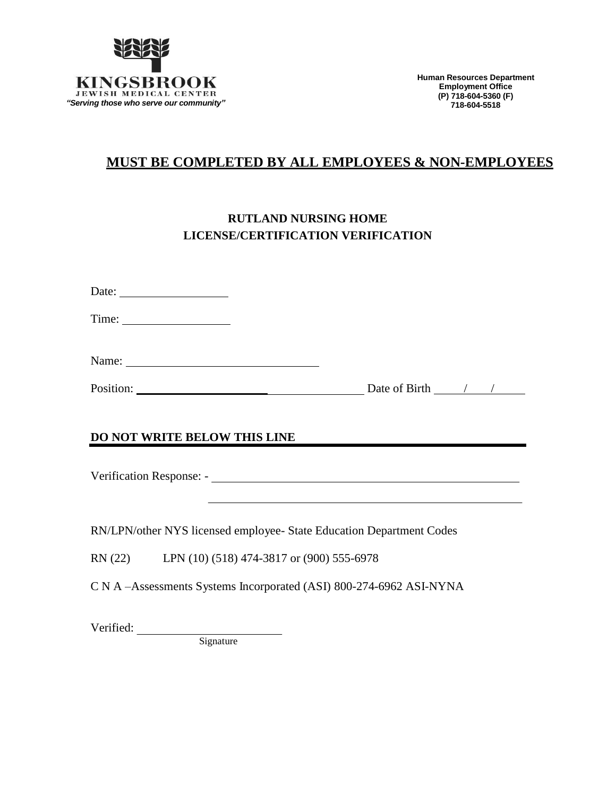

# **MUST BE COMPLETED BY ALL EMPLOYEES & NON-EMPLOYEES**

# **RUTLAND NURSING HOME LICENSE/CERTIFICATION VERIFICATION**

| Date: $\frac{1}{\sqrt{1-\frac{1}{2}} \cdot \frac{1}{2}}$ |                                                   |                                                                                                                 |
|----------------------------------------------------------|---------------------------------------------------|-----------------------------------------------------------------------------------------------------------------|
|                                                          |                                                   |                                                                                                                 |
|                                                          | Name:                                             |                                                                                                                 |
|                                                          |                                                   | Position: Date of Birth 1 /                                                                                     |
|                                                          | DO NOT WRITE BELOW THIS LINE                      | the contract of the contract of the contract of the contract of the contract of the contract of the contract of |
|                                                          |                                                   | RN/LPN/other NYS licensed employee- State Education Department Codes                                            |
|                                                          | RN (22) LPN (10) (518) 474-3817 or (900) 555-6978 |                                                                                                                 |
|                                                          |                                                   | C N A -Assessments Systems Incorporated (ASI) 800-274-6962 ASI-NYNA                                             |
| Verified:                                                |                                                   |                                                                                                                 |

Signature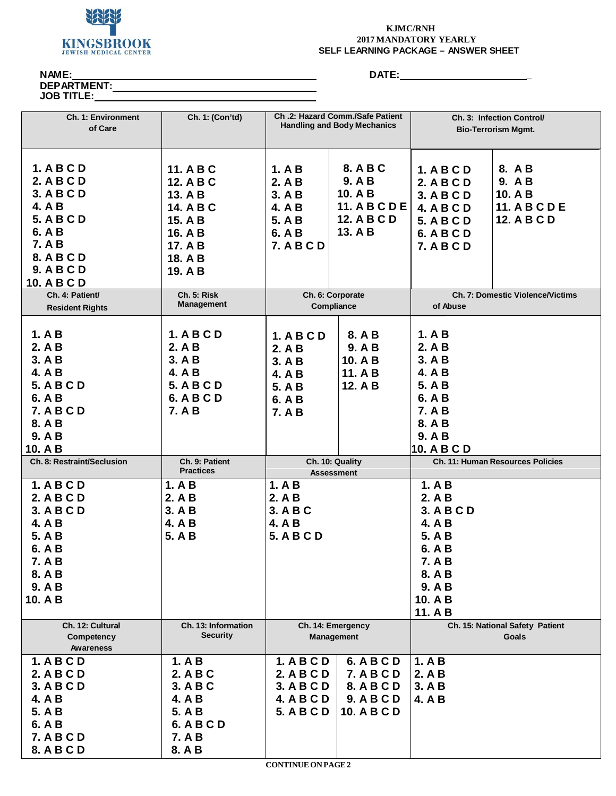

#### **KJMC/RNH 2017 MANDATORY YEARLY SELF LEARNING PACKAGE – ANSWER SHEET**

**NAME:**

**DEPARTMENT:**

**JOB TITLE:**

**DATE: \_**

| <b>Ch. 1: Environment</b><br>of Care                                                                                                               | Ch. 1: (Con'td)                                                                                       |                                                                                  | Ch.2: Hazard Comm./Safe Patient<br><b>Handling and Body Mechanics</b>                  |                                                                                                                     | Ch. 3: Infection Control/<br><b>Bio-Terrorism Mgmt.</b>                  |
|----------------------------------------------------------------------------------------------------------------------------------------------------|-------------------------------------------------------------------------------------------------------|----------------------------------------------------------------------------------|----------------------------------------------------------------------------------------|---------------------------------------------------------------------------------------------------------------------|--------------------------------------------------------------------------|
| 1. A B C D<br>2. A B C D<br>3. A B C D<br>4. A B<br><b>5. A B C D</b><br>6. A B<br><b>7. A B</b><br>8. A B C D<br><b>9. A B C D</b><br>10. A B C D | 11. A B C<br>12. A B C<br>13. A B<br>14. A B C<br>15. A B<br>16. A B<br>17. A B<br>18. A B<br>19. A B | 1. A B<br>2. A B<br>3. A B<br>4. A B<br>5. A B<br>6. A B<br><b>7. A B C D</b>    | 8. A B C<br>9. A B<br>10. A B<br><b>11. A B C D E</b><br><b>12. A B C D</b><br>13. A B | 1. A B C D<br>2. A B C D<br>3. A B C D<br><b>4. A B C D</b><br><b>5. A B C D</b><br>6. A B C D<br><b>7. A B C D</b> | 8. A B<br>9. AB<br>10. A B<br><b>11. A B C D E</b><br><b>12. A B C D</b> |
| Ch. 4: Patient/<br><b>Resident Rights</b>                                                                                                          | Ch. 5: Risk<br><b>Management</b>                                                                      |                                                                                  | Ch. 6: Corporate<br>Compliance                                                         | of Abuse                                                                                                            | Ch. 7: Domestic Violence/Victims                                         |
| 1. A B<br>2. A B<br>3. A B<br>4. A B<br><b>5. A B C D</b><br>6. A B<br><b>7. A B C D</b><br>8. A B<br>9. A B<br>10. A B                            | 1. A B C D<br>2. A B<br>3. A B<br>4. A B<br><b>5. A B C D</b><br>6. A B C D<br>7. A B                 | 1. A B C D<br>2. A B<br>3. A B<br>4. A B<br>5. A B<br>6. A B<br><b>7. A B</b>    | 8. A B<br>9. A B<br>10. A B<br>11. A B<br>12. A B                                      | 1. A B<br>2. A B<br>3. A B<br>4. A B<br>5. A B<br>6. A B<br><b>7. A B</b><br>8. A B<br>9. A B<br>10. A B C D        |                                                                          |
| Ch. 8: Restraint/Seclusion                                                                                                                         | Ch. 9: Patient<br><b>Practices</b>                                                                    |                                                                                  | Ch. 10: Quality<br><b>Assessment</b>                                                   |                                                                                                                     | Ch. 11: Human Resources Policies                                         |
| 1. A B C D<br>2. A B C D<br>3. A B C D<br>4. A B<br>5. A B<br>6. A B<br>7. A B<br>8. A B<br>9. A B<br>10. A B                                      | 1. A B<br>2. A B<br>3. A B<br>4. A B<br>5. A B                                                        | 1. A B<br>2. A B<br>3. A B C<br>4. A B<br><b>5. A B C D</b>                      |                                                                                        | 1. A B<br>2. A B<br>3. A B C D<br>4. A B<br>5. A B<br>6. A B<br>7. A B<br>8. A B<br>9. A B<br>10. A B<br>11. A B    |                                                                          |
| Ch. 12: Cultural<br>Competency<br><b>Awareness</b>                                                                                                 | Ch. 13: Information<br><b>Security</b>                                                                |                                                                                  | Ch. 14: Emergency<br><b>Management</b>                                                 |                                                                                                                     | Ch. 15: National Safety Patient<br>Goals                                 |
| 1. A B C D<br>2. A B C D<br>3. A B C D<br>4. A B<br>5. A B<br>6. A B<br><b>7. A B C D</b><br>8. A B C D                                            | 1. A B<br>2. A B C<br>3. A B C<br>4. A B<br>5. A B<br>6. A B C D<br>7. A B<br>8. A B                  | 1. A B C D<br>2. A B C D<br>3. A B C D<br><b>4. A B C D</b><br><b>5. A B C D</b> | 6. A B C D<br><b>7. A B C D</b><br>8. A B C D<br><b>9. A B C D</b><br>10. A B C D      | 1. A B<br>2. A B<br>3. A B<br>4. A B                                                                                |                                                                          |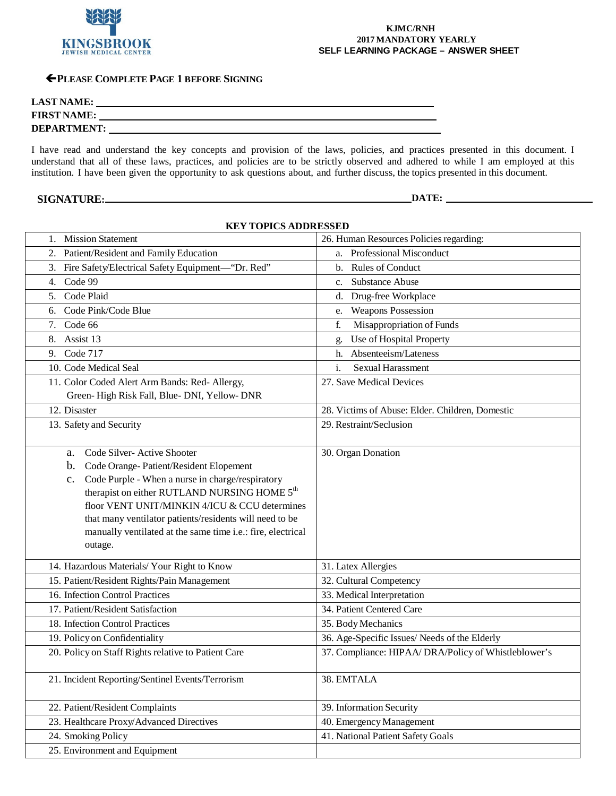

#### **KJMC/RNH 2017 MANDATORY YEARLY SELF LEARNING PACKAGE – ANSWER SHEET**

#### **PLEASE COMPLETE PAGE 1 BEFORE SIGNING**

| <b>LAST NAME:</b>  |  |
|--------------------|--|
| <b>FIRST NAME:</b> |  |
| <b>DEPARTMENT:</b> |  |

I have read and understand the key concepts and provision of the laws, policies, and practices presented in this document. I understand that all of these laws, practices, and policies are to be strictly observed and adhered to while I am employed at this institution. I have been given the opportunity to ask questions about, and further discuss, the topics presented in this document.

## **SIGNATURE: DATE: DATE: DATE: DATE: DATE: DATE: DATE: DATE: DATE: DATE: DATE: DATE: DATE: DATE: DATE: DATE: DATE: DATE: DATE: DATE: DESIGNATURE: DESIGNATURE: DESIGNATURE: DES**

| <b>KEY TOPICS ADDRESSED</b>                                                                                                                                                                                                                                                                                                                                                                              |                                                      |  |  |  |  |  |  |  |
|----------------------------------------------------------------------------------------------------------------------------------------------------------------------------------------------------------------------------------------------------------------------------------------------------------------------------------------------------------------------------------------------------------|------------------------------------------------------|--|--|--|--|--|--|--|
| 1. Mission Statement                                                                                                                                                                                                                                                                                                                                                                                     | 26. Human Resources Policies regarding:              |  |  |  |  |  |  |  |
| 2. Patient/Resident and Family Education                                                                                                                                                                                                                                                                                                                                                                 | a. Professional Misconduct                           |  |  |  |  |  |  |  |
| 3. Fire Safety/Electrical Safety Equipment-"Dr. Red"                                                                                                                                                                                                                                                                                                                                                     | Rules of Conduct<br>$\mathbf{b}$ .                   |  |  |  |  |  |  |  |
| Code 99<br>4.                                                                                                                                                                                                                                                                                                                                                                                            | <b>Substance Abuse</b><br>c.                         |  |  |  |  |  |  |  |
| Code Plaid<br>5.                                                                                                                                                                                                                                                                                                                                                                                         | Drug-free Workplace<br>d.                            |  |  |  |  |  |  |  |
| 6. Code Pink/Code Blue                                                                                                                                                                                                                                                                                                                                                                                   | <b>Weapons Possession</b><br>e.                      |  |  |  |  |  |  |  |
| 7. Code 66                                                                                                                                                                                                                                                                                                                                                                                               | Misappropriation of Funds<br>f.                      |  |  |  |  |  |  |  |
| 8. Assist 13                                                                                                                                                                                                                                                                                                                                                                                             | Use of Hospital Property<br>g.                       |  |  |  |  |  |  |  |
| Code 717<br>9.                                                                                                                                                                                                                                                                                                                                                                                           | Absenteeism/Lateness<br>h.                           |  |  |  |  |  |  |  |
| 10. Code Medical Seal                                                                                                                                                                                                                                                                                                                                                                                    | i.<br><b>Sexual Harassment</b>                       |  |  |  |  |  |  |  |
| 11. Color Coded Alert Arm Bands: Red- Allergy,<br>Green-High Risk Fall, Blue-DNI, Yellow-DNR                                                                                                                                                                                                                                                                                                             | 27. Save Medical Devices                             |  |  |  |  |  |  |  |
| 12. Disaster                                                                                                                                                                                                                                                                                                                                                                                             | 28. Victims of Abuse: Elder. Children, Domestic      |  |  |  |  |  |  |  |
| 13. Safety and Security                                                                                                                                                                                                                                                                                                                                                                                  | 29. Restraint/Seclusion                              |  |  |  |  |  |  |  |
| Code Silver-Active Shooter<br>a.<br>Code Orange-Patient/Resident Elopement<br>b.<br>Code Purple - When a nurse in charge/respiratory<br>$\mathbf{c}$ .<br>therapist on either RUTLAND NURSING HOME 5 <sup>th</sup><br>floor VENT UNIT/MINKIN 4/ICU & CCU determines<br>that many ventilator patients/residents will need to be<br>manually ventilated at the same time i.e.: fire, electrical<br>outage. | 30. Organ Donation                                   |  |  |  |  |  |  |  |
| 14. Hazardous Materials/ Your Right to Know                                                                                                                                                                                                                                                                                                                                                              | 31. Latex Allergies                                  |  |  |  |  |  |  |  |
| 15. Patient/Resident Rights/Pain Management                                                                                                                                                                                                                                                                                                                                                              | 32. Cultural Competency                              |  |  |  |  |  |  |  |
| 16. Infection Control Practices                                                                                                                                                                                                                                                                                                                                                                          | 33. Medical Interpretation                           |  |  |  |  |  |  |  |
| 17. Patient/Resident Satisfaction                                                                                                                                                                                                                                                                                                                                                                        | 34. Patient Centered Care                            |  |  |  |  |  |  |  |
| 18. Infection Control Practices                                                                                                                                                                                                                                                                                                                                                                          | 35. Body Mechanics                                   |  |  |  |  |  |  |  |
| 19. Policy on Confidentiality                                                                                                                                                                                                                                                                                                                                                                            | 36. Age-Specific Issues/ Needs of the Elderly        |  |  |  |  |  |  |  |
| 20. Policy on Staff Rights relative to Patient Care                                                                                                                                                                                                                                                                                                                                                      | 37. Compliance: HIPAA/ DRA/Policy of Whistleblower's |  |  |  |  |  |  |  |
| 21. Incident Reporting/Sentinel Events/Terrorism                                                                                                                                                                                                                                                                                                                                                         | 38. EMTALA                                           |  |  |  |  |  |  |  |
| 22. Patient/Resident Complaints                                                                                                                                                                                                                                                                                                                                                                          | 39. Information Security                             |  |  |  |  |  |  |  |
| 23. Healthcare Proxy/Advanced Directives                                                                                                                                                                                                                                                                                                                                                                 | 40. Emergency Management                             |  |  |  |  |  |  |  |
| 24. Smoking Policy                                                                                                                                                                                                                                                                                                                                                                                       | 41. National Patient Safety Goals                    |  |  |  |  |  |  |  |
| 25. Environment and Equipment                                                                                                                                                                                                                                                                                                                                                                            |                                                      |  |  |  |  |  |  |  |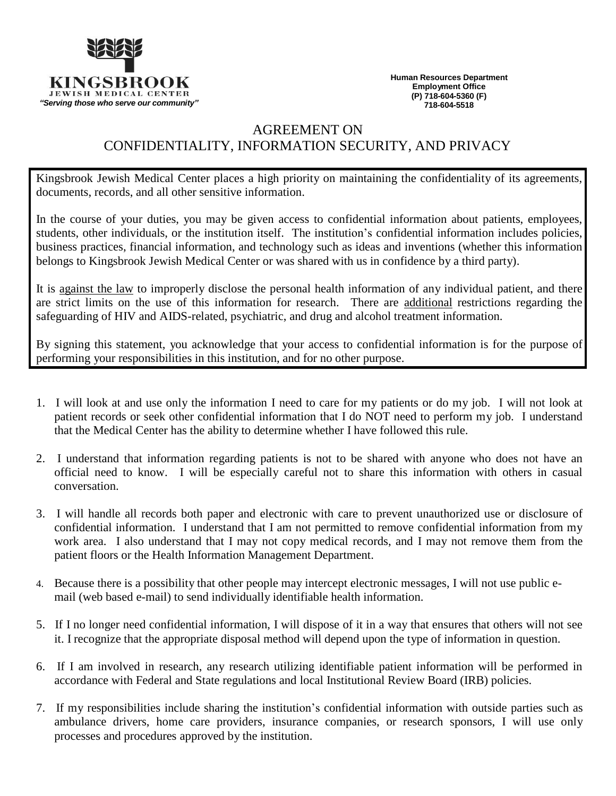

**Human Resources Department Employment Office (P) 718-604-5360 (F) 718-604-5518**

## AGREEMENT ON CONFIDENTIALITY, INFORMATION SECURITY, AND PRIVACY

Kingsbrook Jewish Medical Center places a high priority on maintaining the confidentiality of its agreements, documents, records, and all other sensitive information.

In the course of your duties, you may be given access to confidential information about patients, employees, students, other individuals, or the institution itself. The institution's confidential information includes policies, business practices, financial information, and technology such as ideas and inventions (whether this information belongs to Kingsbrook Jewish Medical Center or was shared with us in confidence by a third party).

It is against the law to improperly disclose the personal health information of any individual patient, and there are strict limits on the use of this information for research. There are additional restrictions regarding the safeguarding of HIV and AIDS-related, psychiatric, and drug and alcohol treatment information.

By signing this statement, you acknowledge that your access to confidential information is for the purpose of performing your responsibilities in this institution, and for no other purpose.

- 1. I will look at and use only the information I need to care for my patients or do my job. I will not look at patient records or seek other confidential information that I do NOT need to perform my job. I understand that the Medical Center has the ability to determine whether I have followed this rule.
- 2. I understand that information regarding patients is not to be shared with anyone who does not have an official need to know. I will be especially careful not to share this information with others in casual conversation.
- 3. I will handle all records both paper and electronic with care to prevent unauthorized use or disclosure of confidential information. I understand that I am not permitted to remove confidential information from my work area. I also understand that I may not copy medical records, and I may not remove them from the patient floors or the Health Information Management Department.
- 4. Because there is a possibility that other people may intercept electronic messages, I will not use public email (web based e-mail) to send individually identifiable health information.
- 5. If I no longer need confidential information, I will dispose of it in a way that ensures that others will not see it. I recognize that the appropriate disposal method will depend upon the type of information in question.
- 6. If I am involved in research, any research utilizing identifiable patient information will be performed in accordance with Federal and State regulations and local Institutional Review Board (IRB) policies.
- 7. If my responsibilities include sharing the institution's confidential information with outside parties such as ambulance drivers, home care providers, insurance companies, or research sponsors, I will use only processes and procedures approved by the institution.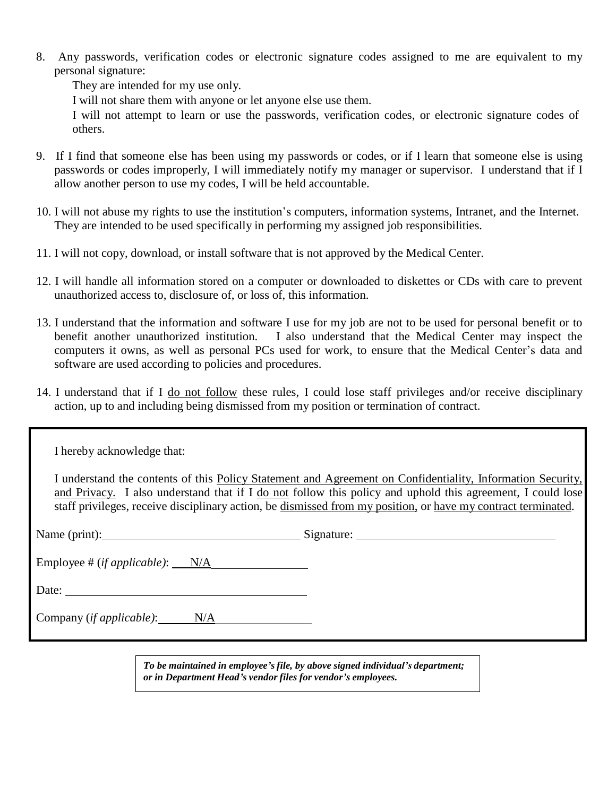8. Any passwords, verification codes or electronic signature codes assigned to me are equivalent to my personal signature:

They are intended for my use only.

I will not share them with anyone or let anyone else use them.

I will not attempt to learn or use the passwords, verification codes, or electronic signature codes of others.

- 9. If I find that someone else has been using my passwords or codes, or if I learn that someone else is using passwords or codes improperly, I will immediately notify my manager or supervisor. I understand that if I allow another person to use my codes, I will be held accountable.
- 10. I will not abuse my rights to use the institution's computers, information systems, Intranet, and the Internet. They are intended to be used specifically in performing my assigned job responsibilities.
- 11. I will not copy, download, or install software that is not approved by the Medical Center.
- 12. I will handle all information stored on a computer or downloaded to diskettes or CDs with care to prevent unauthorized access to, disclosure of, or loss of, this information.
- 13. I understand that the information and software I use for my job are not to be used for personal benefit or to benefit another unauthorized institution. I also understand that the Medical Center may inspect the computers it owns, as well as personal PCs used for work, to ensure that the Medical Center's data and software are used according to policies and procedures.
- 14. I understand that if I do not follow these rules, I could lose staff privileges and/or receive disciplinary action, up to and including being dismissed from my position or termination of contract.

| I hereby acknowledge that:              |                                                                                                                                                                                                                                                                                                                                           |
|-----------------------------------------|-------------------------------------------------------------------------------------------------------------------------------------------------------------------------------------------------------------------------------------------------------------------------------------------------------------------------------------------|
|                                         | I understand the contents of this Policy Statement and Agreement on Confidentiality, Information Security,<br>and Privacy. I also understand that if I do not follow this policy and uphold this agreement, I could lose<br>staff privileges, receive disciplinary action, be dismissed from my position, or have my contract terminated. |
| Name (print): Signature: Signature:     |                                                                                                                                                                                                                                                                                                                                           |
| Employee # $(ifappliedble)$ : $N/A$     |                                                                                                                                                                                                                                                                                                                                           |
| Date:                                   |                                                                                                                                                                                                                                                                                                                                           |
| Company ( <i>if applicable</i> ): $N/A$ |                                                                                                                                                                                                                                                                                                                                           |

*To be maintained in employee's file, by above signed individual's department; or in Department Head's vendor files for vendor's employees.*